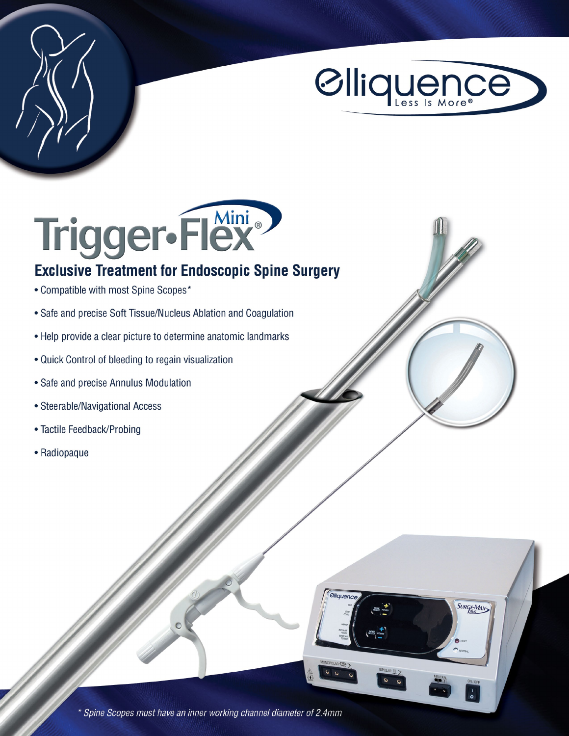

SURGI-MAX



## **Exclusive Treatment for Endoscopic Spine Surgery**

- Compatible with most Spine Scopes\*
- Safe and precise Soft Tissue/Nucleus Ablation and Coagulation
- Help provide a clear picture to determine anatomic landmarks
- . Quick Control of bleeding to regain visualization
- Safe and precise Annulus Modulation
- Steerable/Navigational Access
- Tactile Feedback/Probing
- Radiopaque

\* Spine Scopes must have an inner working channel diameter of 2.4mm